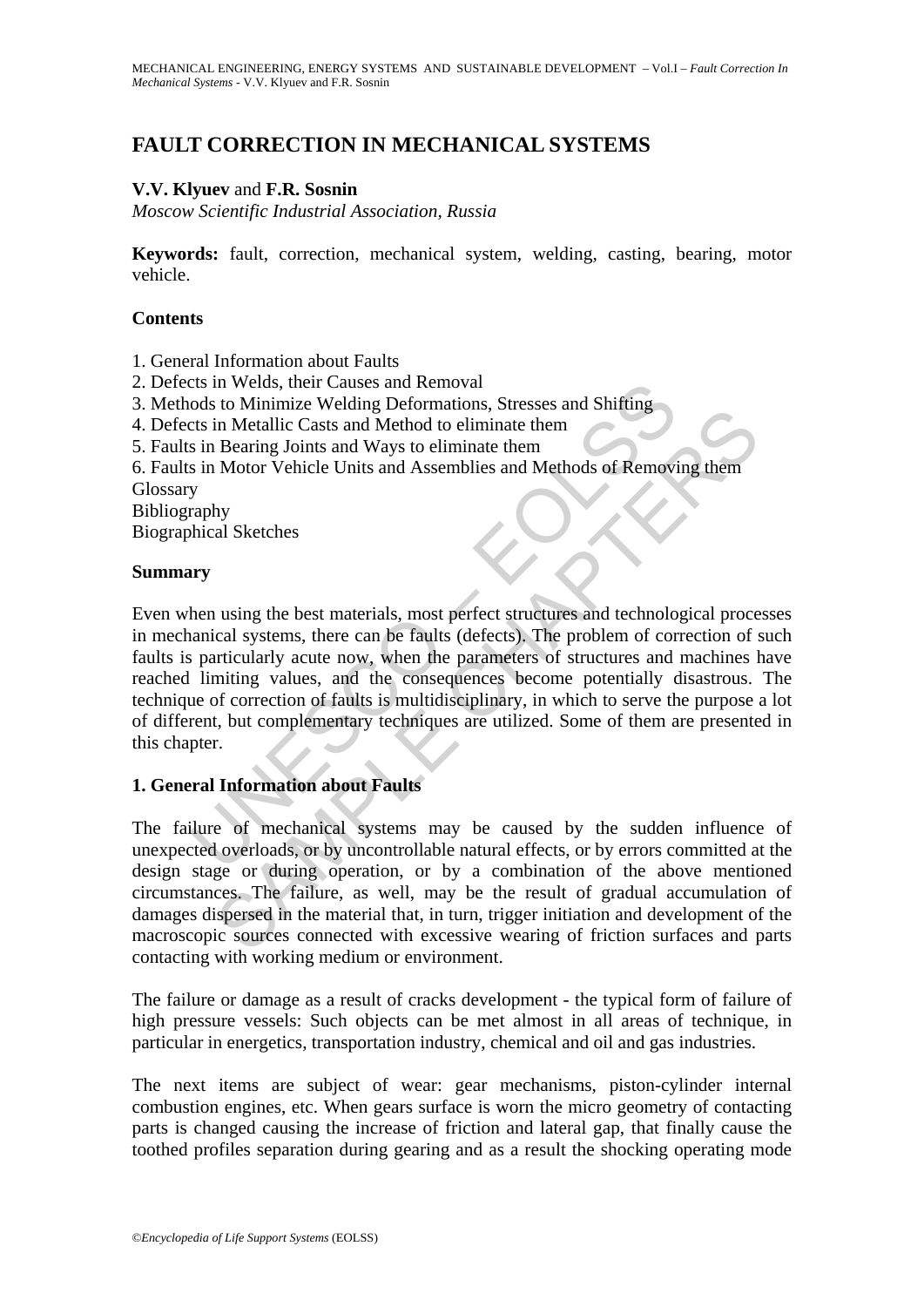# **FAULT CORRECTION IN MECHANICAL SYSTEMS**

## **V.V. Klyuev** and **F.R. Sosnin**

*Moscow Scientific Industrial Association, Russia* 

**Keywords:** fault, correction, mechanical system, welding, casting, bearing, motor vehicle.

### **Contents**

- 1. General Information about Faults
- 2. Defects in Welds, their Causes and Removal
- 3. Methods to Minimize Welding Deformations, Stresses and Shifting
- 4. Defects in Metallic Casts and Method to eliminate them
- 5. Faults in Bearing Joints and Ways to eliminate them
- 6. Faults in Motor Vehicle Units and Assemblies and Methods of Removing them
- **Glossary**

Bibliography

Biographical Sketches

#### **Summary**

The model of Minimize Welding Deformations, Stresses and Shifting<br>ods to Minimize Welding Deformations, Stresses and Shifting<br>ts in Metallic Casts and Method to eliminate them<br>s in Bearing Joints and Ways to eliminate them No winning wellay to the material consists and Shimilar Casts and Mehold to eliminate them<br>
Reaaring Joints and Ways to eliminate them<br>
Reaaring Joints and Ways to eliminate them<br>
Notor Vehicle Units and Assemblies and Meh Even when using the best materials, most perfect structures and technological processes in mechanical systems, there can be faults (defects). The problem of correction of such faults is particularly acute now, when the parameters of structures and machines have reached limiting values, and the consequences become potentially disastrous. The technique of correction of faults is multidisciplinary, in which to serve the purpose a lot of different, but complementary techniques are utilized. Some of them are presented in this chapter.

### **1. General Information about Faults**

The failure of mechanical systems may be caused by the sudden influence of unexpected overloads, or by uncontrollable natural effects, or by errors committed at the design stage or during operation, or by a combination of the above mentioned circumstances. The failure, as well, may be the result of gradual accumulation of damages dispersed in the material that, in turn, trigger initiation and development of the macroscopic sources connected with excessive wearing of friction surfaces and parts contacting with working medium or environment.

The failure or damage as a result of cracks development - the typical form of failure of high pressure vessels: Such objects can be met almost in all areas of technique, in particular in energetics, transportation industry, chemical and oil and gas industries.

The next items are subject of wear: gear mechanisms, piston-cylinder internal combustion engines, etc. When gears surface is worn the micro geometry of contacting parts is changed causing the increase of friction and lateral gap, that finally cause the toothed profiles separation during gearing and as a result the shocking operating mode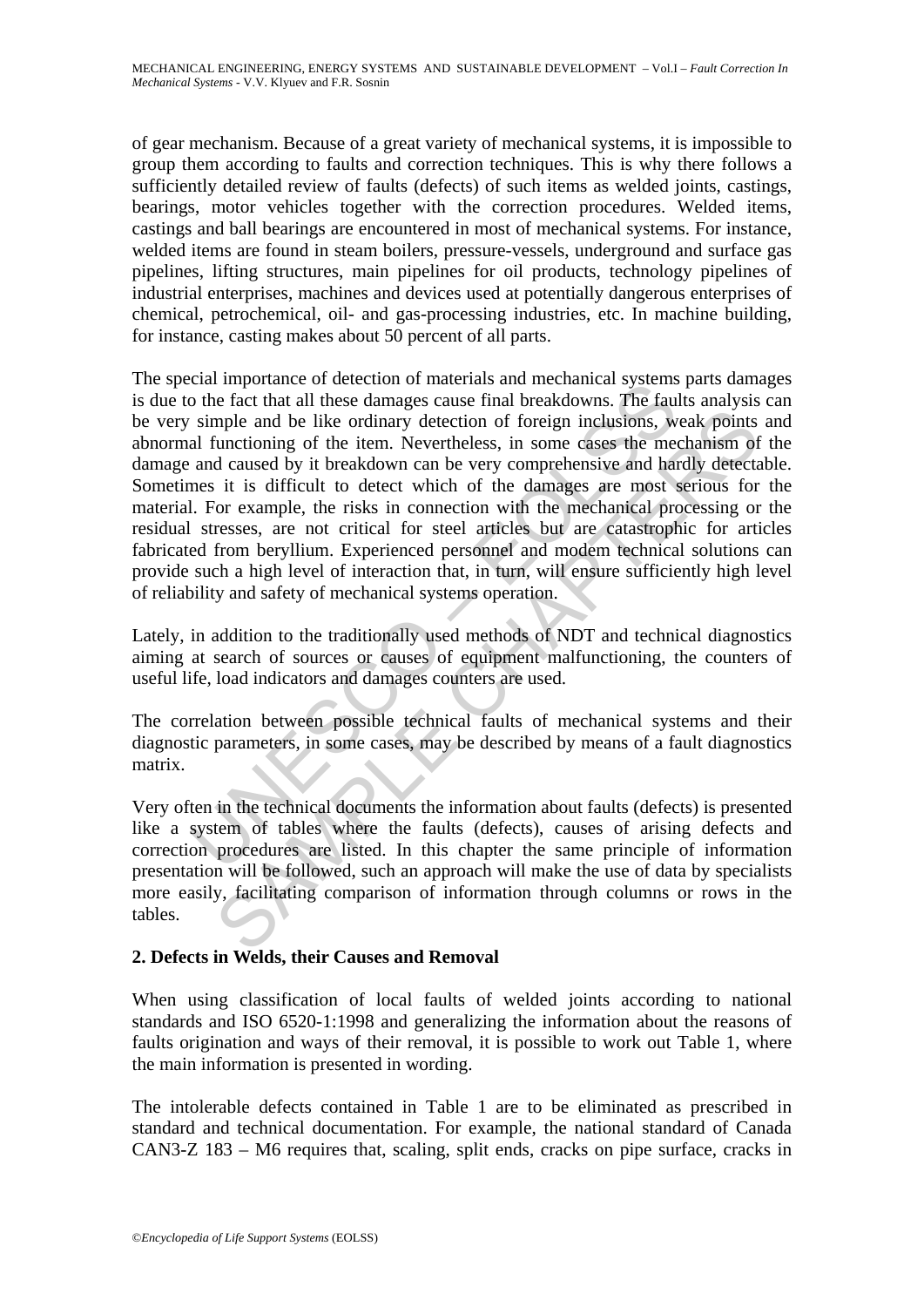of gear mechanism. Because of a great variety of mechanical systems, it is impossible to group them according to faults and correction techniques. This is why there follows a sufficiently detailed review of faults (defects) of such items as welded joints, castings, bearings, motor vehicles together with the correction procedures. Welded items, castings and ball bearings are encountered in most of mechanical systems. For instance, welded items are found in steam boilers, pressure-vessels, underground and surface gas pipelines, lifting structures, main pipelines for oil products, technology pipelines of industrial enterprises, machines and devices used at potentially dangerous enterprises of chemical, petrochemical, oil- and gas-processing industries, etc. In machine building, for instance, casting makes about 50 percent of all parts.

Example and the decrubing in that and net all these damages cause final breakdowns. The faultion in material systems simple and be like ordinary detection of foreign inclusions, we all functioning of the item. Nevertheless mple and be like ordinary detection of foreign inclusions, weak points<br>thractioning of the item. Nevertheless, in some cases the mechanism of<br>d caused by it breakdown can be very comprehensive and hardly detect<br>in is diffi The special importance of detection of materials and mechanical systems parts damages is due to the fact that all these damages cause final breakdowns. The faults analysis can be very simple and be like ordinary detection of foreign inclusions, weak points and abnormal functioning of the item. Nevertheless, in some cases the mechanism of the damage and caused by it breakdown can be very comprehensive and hardly detectable. Sometimes it is difficult to detect which of the damages are most serious for the material. For example, the risks in connection with the mechanical processing or the residual stresses, are not critical for steel articles but are catastrophic for articles fabricated from beryllium. Experienced personnel and modem technical solutions can provide such a high level of interaction that, in turn, will ensure sufficiently high level of reliability and safety of mechanical systems operation.

Lately, in addition to the traditionally used methods of NDT and technical diagnostics aiming at search of sources or causes of equipment malfunctioning, the counters of useful life, load indicators and damages counters are used.

The correlation between possible technical faults of mechanical systems and their diagnostic parameters, in some cases, may be described by means of a fault diagnostics matrix.

Very often in the technical documents the information about faults (defects) is presented like a system of tables where the faults (defects), causes of arising defects and correction procedures are listed. In this chapter the same principle of information presentation will be followed, such an approach will make the use of data by specialists more easily, facilitating comparison of information through columns or rows in the tables.

### **2. Defects in Welds, their Causes and Removal**

When using classification of local faults of welded joints according to national standards and ISO 6520-1:1998 and generalizing the information about the reasons of faults origination and ways of their removal, it is possible to work out Table 1, where the main information is presented in wording.

The intolerable defects contained in Table 1 are to be eliminated as prescribed in standard and technical documentation. For example, the national standard of Canada CAN3-Z 183 – M6 requires that, scaling, split ends, cracks on pipe surface, cracks in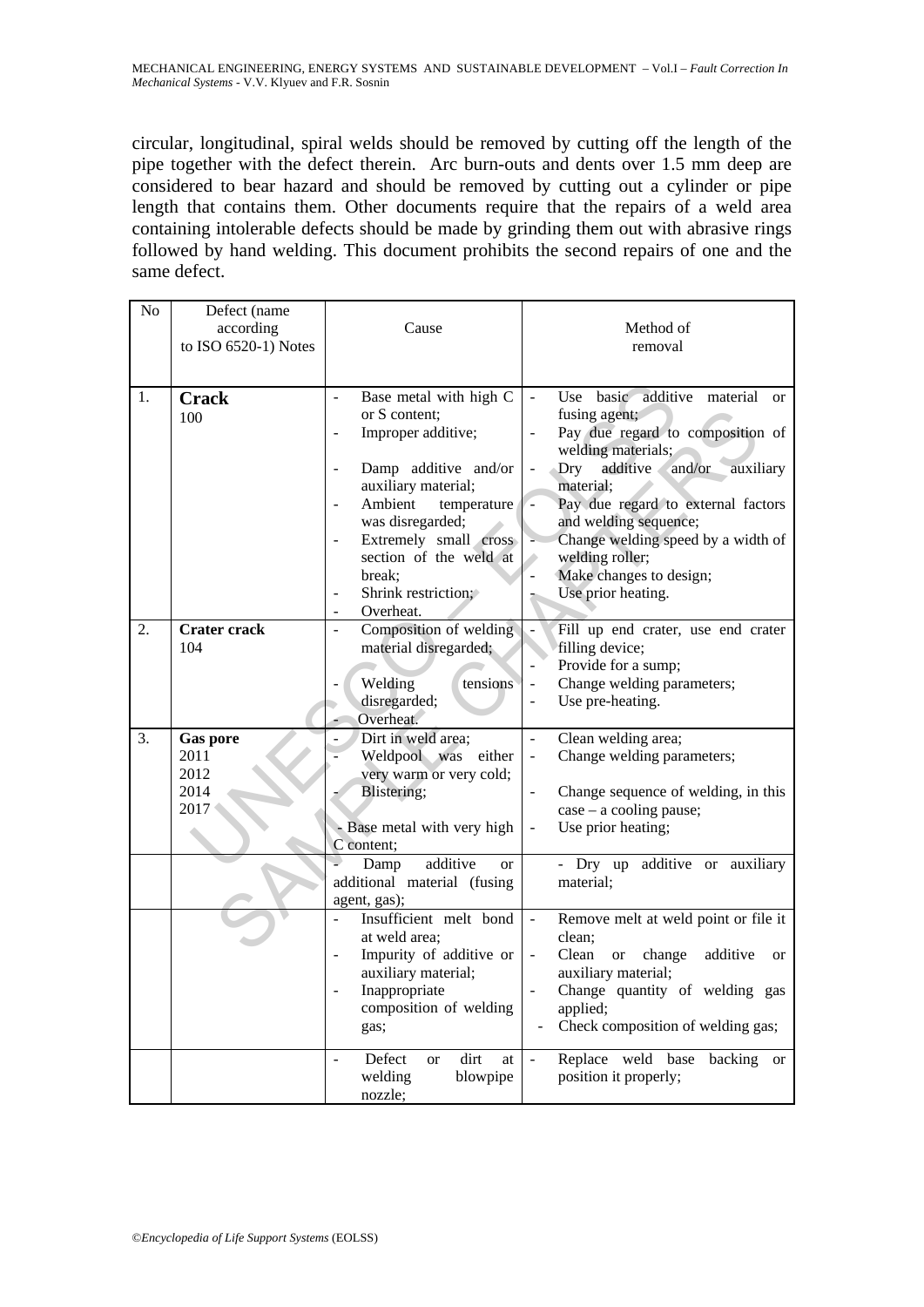circular, longitudinal, spiral welds should be removed by cutting off the length of the pipe together with the defect therein. Arc burn-outs and dents over 1.5 mm deep are considered to bear hazard and should be removed by cutting out a cylinder or pipe length that contains them. Other documents require that the repairs of a weld area containing intolerable defects should be made by grinding them out with abrasive rings followed by hand welding. This document prohibits the second repairs of one and the same defect.

| No | Defect (name<br>according<br>to ISO 6520-1) Notes | Cause                                                                                                                                                                                                                                                                                   | Method of<br>removal                                                                                                                                                                                                                                                                                                                                    |
|----|---------------------------------------------------|-----------------------------------------------------------------------------------------------------------------------------------------------------------------------------------------------------------------------------------------------------------------------------------------|---------------------------------------------------------------------------------------------------------------------------------------------------------------------------------------------------------------------------------------------------------------------------------------------------------------------------------------------------------|
| 1. | <b>Crack</b><br>100                               | Base metal with high C<br>or S content:<br>Improper additive;<br>Damp additive and/or<br>auxiliary material;<br>Ambient<br>temperature<br>was disregarded;<br>Extremely small cross<br>$\overline{\phantom{a}}$<br>section of the weld at<br>break:<br>Shrink restriction;<br>Overheat. | Use basic additive material<br><sub>or</sub><br>fusing agent;<br>Pay due regard to composition of<br>welding materials;<br>additive<br>Dry<br>and/or<br>auxiliary<br>material;<br>Pay due regard to external factors<br>and welding sequence;<br>Change welding speed by a width of<br>welding roller;<br>Make changes to design;<br>Use prior heating. |
| 2. | <b>Crater crack</b><br>104                        | Composition of welding<br>material disregarded;<br>Welding<br>tensions<br>disregarded;<br>Overheat.                                                                                                                                                                                     | Fill up end crater, use end crater<br>filling device;<br>Provide for a sump;<br>Change welding parameters;<br>÷,<br>Use pre-heating.                                                                                                                                                                                                                    |
| 3. | <b>Gas pore</b><br>2011<br>2012<br>2014<br>2017   | Dirt in weld area;<br>Weldpool was<br>either<br>very warm or very cold;<br>Blistering;<br>Base metal with very high<br>C content;                                                                                                                                                       | Clean welding area;<br>÷,<br>Change welding parameters;<br>$\blacksquare$<br>Change sequence of welding, in this<br>$case - a cooling pause;$<br>Use prior heating;                                                                                                                                                                                     |
|    |                                                   | additive<br>Damp<br><sub>or</sub><br>additional material (fusing<br>agent, gas);                                                                                                                                                                                                        | - Dry up additive or<br>auxiliary<br>material:                                                                                                                                                                                                                                                                                                          |
|    |                                                   | Insufficient melt bond<br>at weld area;<br>Impurity of additive or<br>auxiliary material;<br>Inappropriate<br>$\overline{\phantom{a}}$<br>composition of welding<br>gas;                                                                                                                | Remove melt at weld point or file it<br>clean:<br>Clean<br>change<br>additive<br><b>or</b><br>or<br>auxiliary material;<br>Change quantity of welding gas<br>applied;<br>Check composition of welding gas;                                                                                                                                              |
|    |                                                   | dirt<br>Defect<br>at<br><sub>or</sub><br>blowpipe<br>welding<br>nozzle;                                                                                                                                                                                                                 | Replace weld base backing<br><sub>or</sub><br>position it properly;                                                                                                                                                                                                                                                                                     |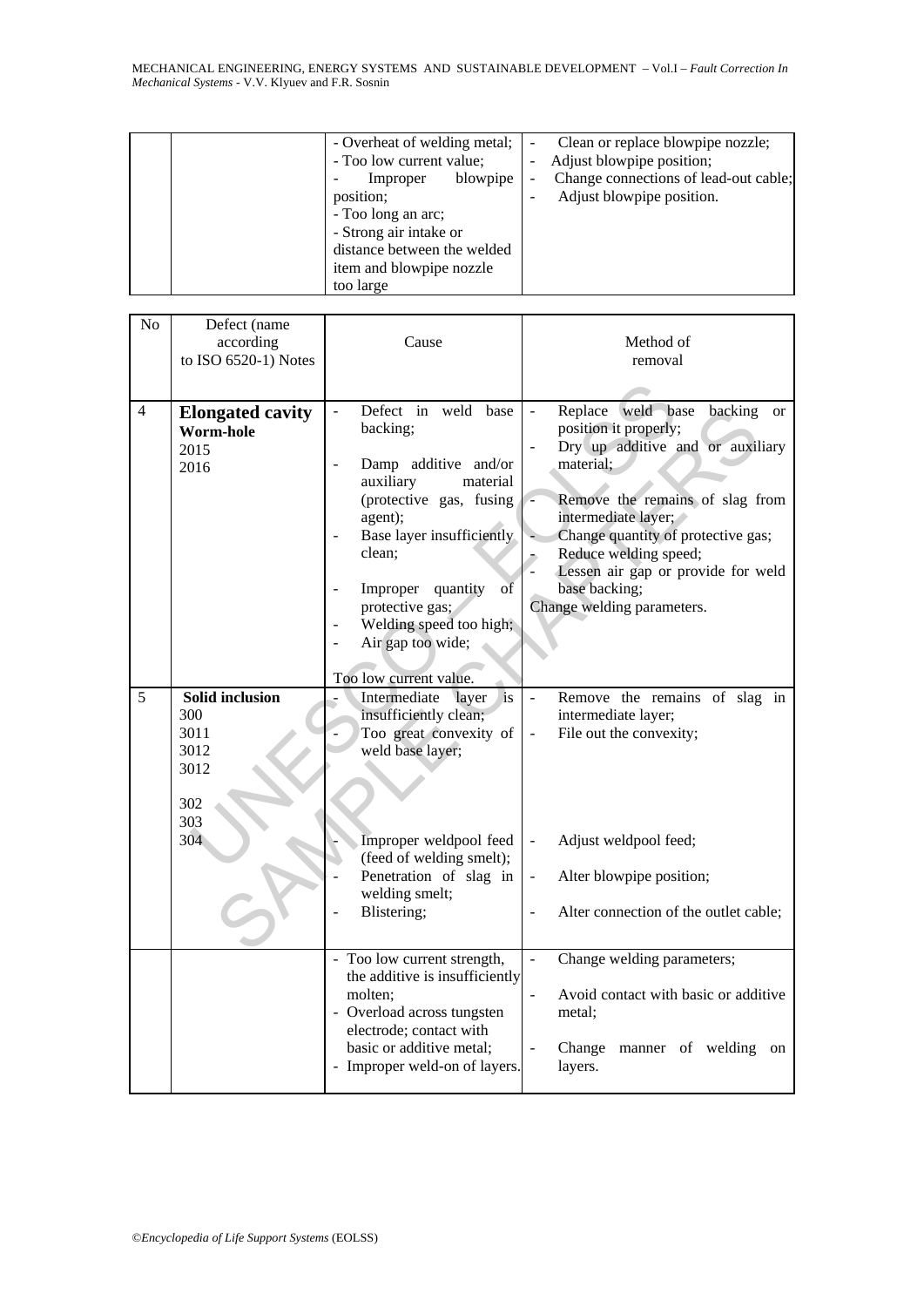MECHANICAL ENGINEERING, ENERGY SYSTEMS AND SUSTAINABLE DEVELOPMENT – Vol.I – *Fault Correction In Mechanical Systems* - V.V. Klyuev and F.R. Sosnin

| - Overheat of welding metal;<br>- Too low current value;<br>blowpipe<br>Improper<br>position;<br>- Too long an arc;<br>- Strong air intake or<br>distance between the welded<br>item and blowpipe nozzle<br>too large | Clean or replace blowpipe nozzle;<br>Adjust blowpipe position;<br>Change connections of lead-out cable;<br>Adjust blowpipe position. |
|-----------------------------------------------------------------------------------------------------------------------------------------------------------------------------------------------------------------------|--------------------------------------------------------------------------------------------------------------------------------------|
|-----------------------------------------------------------------------------------------------------------------------------------------------------------------------------------------------------------------------|--------------------------------------------------------------------------------------------------------------------------------------|

| No | Defect (name<br>according<br>to ISO 6520-1) Notes                          | Cause                                                                                                                                                                                                                                                                                                                                    | Method of<br>removal                                                                                                                                                                                                                                                                                                                  |
|----|----------------------------------------------------------------------------|------------------------------------------------------------------------------------------------------------------------------------------------------------------------------------------------------------------------------------------------------------------------------------------------------------------------------------------|---------------------------------------------------------------------------------------------------------------------------------------------------------------------------------------------------------------------------------------------------------------------------------------------------------------------------------------|
| 4  | <b>Elongated cavity</b><br>Worm-hole<br>2015<br>2016                       | Defect in weld base<br>backing;<br>Damp additive and/or<br>auxiliary<br>material<br>(protective gas, fusing<br>agent);<br>Base layer insufficiently<br>clean:<br>$\overline{\text{of}}$<br>quantity<br>Improper<br>$\overline{\phantom{a}}$<br>protective gas;<br>Welding speed too high;<br>Air gap too wide;<br>Too low current value. | Replace weld base<br>backing<br><sub>or</sub><br>position it properly;<br>Dry up additive and or auxiliary<br>material;<br>Remove the remains of slag from<br>intermediate layer;<br>Change quantity of protective gas;<br>Reduce welding speed;<br>Lessen air gap or provide for weld<br>base backing;<br>Change welding parameters. |
| 5  | <b>Solid inclusion</b><br>300<br>3011<br>3012<br>3012<br>302<br>303<br>304 | is<br>Intermediate layer<br>insufficiently clean;<br>Too great convexity of<br>weld base layer;<br>Improper weldpool feed<br>(feed of welding smelt);<br>Penetration of slag in<br>welding smelt;<br>Blistering;                                                                                                                         | $\overline{a}$<br>Remove the remains of slag in<br>intermediate layer;<br>File out the convexity;<br>Adjust weldpool feed;<br>$\Box$<br>Alter blowpipe position;<br>$\blacksquare$<br>Alter connection of the outlet cable;                                                                                                           |
|    |                                                                            | - Too low current strength,<br>the additive is insufficiently<br>molten:<br>- Overload across tungsten<br>electrode; contact with<br>basic or additive metal;<br>- Improper weld-on of layers.                                                                                                                                           | Change welding parameters;<br>Avoid contact with basic or additive<br>metal;<br>Change manner of welding<br>$\overline{a}$<br>on<br>layers.                                                                                                                                                                                           |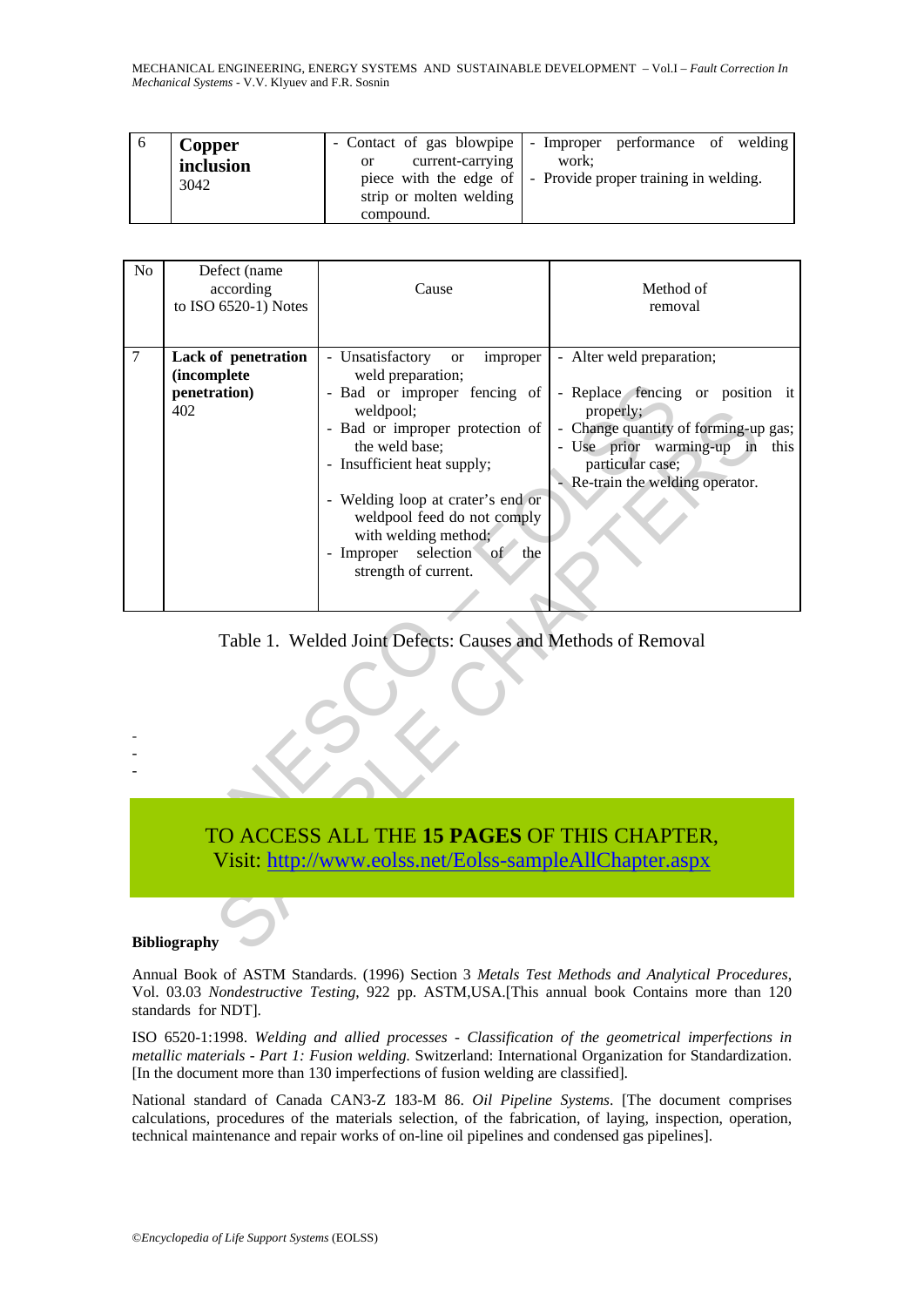MECHANICAL ENGINEERING, ENERGY SYSTEMS AND SUSTAINABLE DEVELOPMENT – Vol.I – *Fault Correction In Mechanical Systems* - V.V. Klyuev and F.R. Sosnin

|  | Copper<br>inclusion<br>3042 | current-carrying<br><sub>or</sub><br>strip or molten welding | - Contact of gas blowpipe   - Improper performance of welding<br>work:<br>piece with the edge of $\vert$ - Provide proper training in welding. |
|--|-----------------------------|--------------------------------------------------------------|------------------------------------------------------------------------------------------------------------------------------------------------|
|  |                             | compound.                                                    |                                                                                                                                                |

| N <sub>o</sub>                                               | Defect (name<br>according<br>to ISO 6520-1) Notes                                                      | Cause                                                                                                                                                                                                                                                                                                                                              | Method of<br>removal                                                                                                                                                                                         |  |  |
|--------------------------------------------------------------|--------------------------------------------------------------------------------------------------------|----------------------------------------------------------------------------------------------------------------------------------------------------------------------------------------------------------------------------------------------------------------------------------------------------------------------------------------------------|--------------------------------------------------------------------------------------------------------------------------------------------------------------------------------------------------------------|--|--|
| 7                                                            | Lack of penetration<br><i>(incomplete)</i><br>penetration)<br>402                                      | - Unsatisfactory<br>improper<br><b>or</b><br>weld preparation;<br>- Bad or improper fencing of<br>weldpool;<br>- Bad or improper protection of<br>the weld base;<br>- Insufficient heat supply;<br>- Welding loop at crater's end or<br>weldpool feed do not comply<br>with welding method;<br>- Improper selection of the<br>strength of current. | - Alter weld preparation;<br>- Replace fencing or position it<br>properly;<br>- Change quantity of forming-up gas;<br>- Use prior warming-up in this<br>particular case;<br>- Re-train the welding operator. |  |  |
| Table 1. Welded Joint Defects: Causes and Methods of Removal |                                                                                                        |                                                                                                                                                                                                                                                                                                                                                    |                                                                                                                                                                                                              |  |  |
|                                                              | TO ACCESS ALL THE 15 PAGES OF THIS CHAPTER,<br>Visit: http://www.eolss.net/Eolss-sampleAllChapter.aspx |                                                                                                                                                                                                                                                                                                                                                    |                                                                                                                                                                                                              |  |  |
|                                                              | <b>Bibliography</b>                                                                                    |                                                                                                                                                                                                                                                                                                                                                    |                                                                                                                                                                                                              |  |  |

#### **Bibliography**

Annual Book of ASTM Standards. (1996) Section 3 *Metals Test Methods and Analytical Procedures*, Vol. 03.03 *Nondestructive Testing*, 922 pp. ASTM,USA.[This annual book Contains more than 120 standards for NDT].

ISO 6520-1:1998. *Welding and allied processes - Classification of the geometrical imperfections in metallic materials - Part 1: Fusion welding.* Switzerland: International Organization for Standardization. [In the document more than 130 imperfections of fusion welding are classified].

National standard of Canada CAN3-Z 183-M 86. *Oil Pipeline Systems*. [The document comprises calculations, procedures of the materials selection, of the fabrication, of laying, inspection, operation, technical maintenance and repair works of on-line oil pipelines and condensed gas pipelines].